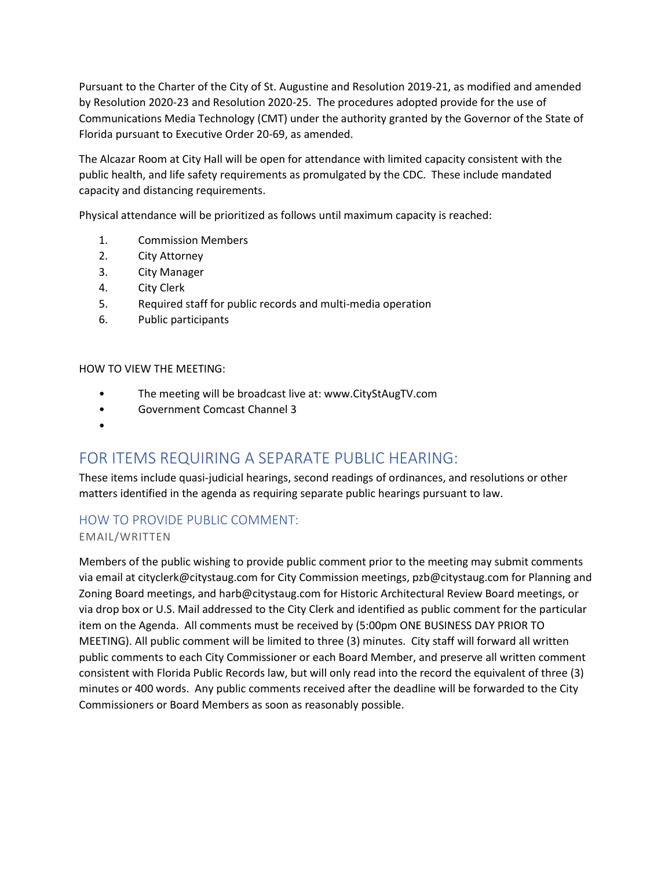Pursuant to the Charter of the City of St. Augustine and Resolution 2019-21, as modified and amended by Resolution 2020-23 and Resolution 2020-25. The procedures adopted provide for the use of Communications Media Technology (CMT) under the authority granted by the Governor of the State of Florida pursuant to Executive Order 20-69, as amended.

The Alcazar Room at City Hall will be open for attendance with limited capacity consistent with the public health, and life safety requirements as promulgated by the CDC. These include mandated capacity and distancing requirements.

Physical attendance will be prioritized as follows until maximum capacity is reached:

- 1. Commission Members
- 2. City Attorney
- 3. City Manager
- 4. City Clerk
- 5. Required staff for public records and multi-media operation
- 6. Public participants

#### HOW TO VIEW THE MEETING:

- The meeting will be broadcast live at: www.CityStAugTV.com
- Government Comcast Channel 3
- •

# FOR ITEMS REQUIRING A SEPARATE PUBLIC HEARING:

These items include quasi-judicial hearings, second readings of ordinances, and resolutions or other matters identified in the agenda as requiring separate public hearings pursuant to law.

# HOW TO PROVIDE PUBLIC COMMENT:

## EMAIL/WRITTEN

Members of the public wishing to provide public comment prior to the meeting may submit comments via email at cityclerk@citystaug.com for City Commission meetings, pzb@citystaug.com for Planning and Zoning Board meetings, and harb@citystaug.com for Historic Architectural Review Board meetings, or via drop box or U.S. Mail addressed to the City Clerk and identified as public comment for the particular item on the Agenda. All comments must be received by (5:00pm ONE BUSINESS DAY PRIOR TO MEETING). All public comment will be limited to three (3) minutes. City staff will forward all written public comments to each City Commissioner or each Board Member, and preserve all written comment consistent with Florida Public Records law, but will only read into the record the equivalent of three (3) minutes or 400 words. Any public comments received after the deadline will be forwarded to the City Commissioners or Board Members as soon as reasonably possible.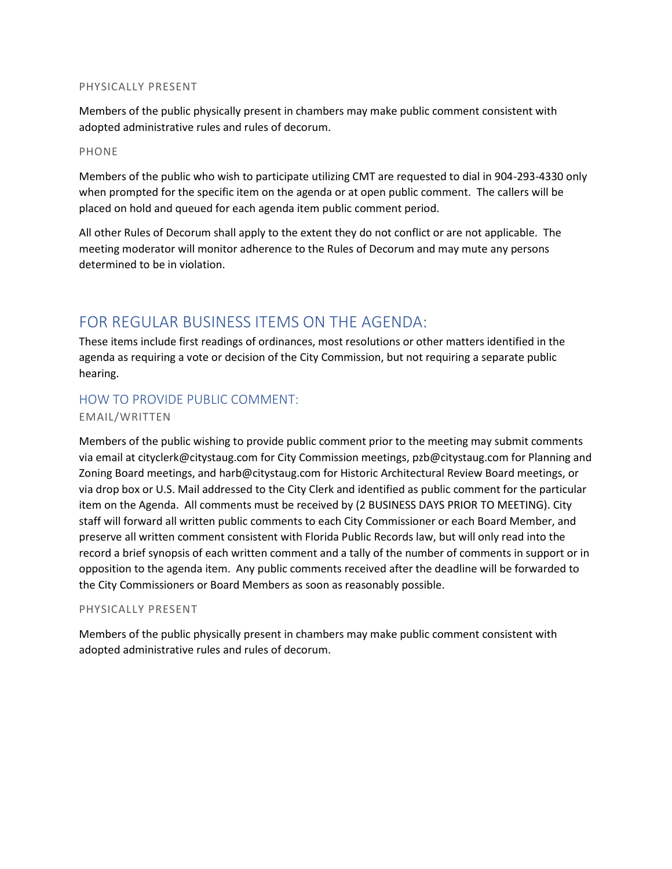#### PHYSICALLY PRESENT

Members of the public physically present in chambers may make public comment consistent with adopted administrative rules and rules of decorum.

#### PHONE

Members of the public who wish to participate utilizing CMT are requested to dial in 904-293-4330 only when prompted for the specific item on the agenda or at open public comment. The callers will be placed on hold and queued for each agenda item public comment period.

All other Rules of Decorum shall apply to the extent they do not conflict or are not applicable. The meeting moderator will monitor adherence to the Rules of Decorum and may mute any persons determined to be in violation.

# FOR REGULAR BUSINESS ITEMS ON THE AGENDA:

These items include first readings of ordinances, most resolutions or other matters identified in the agenda as requiring a vote or decision of the City Commission, but not requiring a separate public hearing.

# HOW TO PROVIDE PUBLIC COMMENT:

## EMAIL/WRITTEN

Members of the public wishing to provide public comment prior to the meeting may submit comments via email at cityclerk@citystaug.com for City Commission meetings, pzb@citystaug.com for Planning and Zoning Board meetings, and harb@citystaug.com for Historic Architectural Review Board meetings, or via drop box or U.S. Mail addressed to the City Clerk and identified as public comment for the particular item on the Agenda. All comments must be received by (2 BUSINESS DAYS PRIOR TO MEETING). City staff will forward all written public comments to each City Commissioner or each Board Member, and preserve all written comment consistent with Florida Public Records law, but will only read into the record a brief synopsis of each written comment and a tally of the number of comments in support or in opposition to the agenda item. Any public comments received after the deadline will be forwarded to the City Commissioners or Board Members as soon as reasonably possible.

## PHYSICALLY PRESENT

Members of the public physically present in chambers may make public comment consistent with adopted administrative rules and rules of decorum.